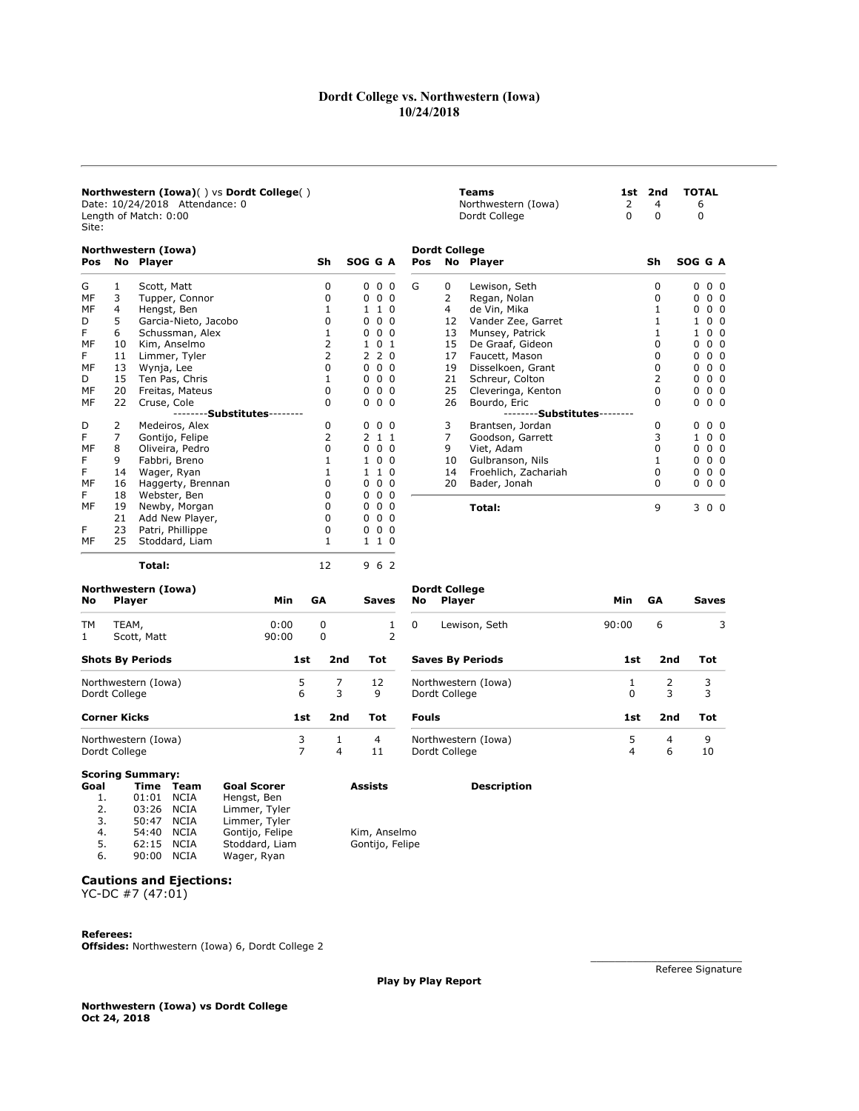## Dordt College vs. Northwestern (Iowa) 10/24/2018

| Northwestern (Iowa)() vs Dordt College()<br>Date: 10/24/2018 Attendance: 0<br>Length of Match: 0:00<br>Site:<br>Northwestern (Iowa)<br>Sh<br>SOG G A<br>No Player<br>Pos<br>$0\quad 0\quad 0$<br>Scott, Matt<br>0<br>G<br>1<br>3<br>$0\quad 0\quad 0$<br>MF<br>Tupper, Connor<br>0<br>MF<br>$\overline{4}$<br>$\mathbf{1}$<br>110<br>Hengst, Ben<br>5<br>0<br>$0\quad 0\quad 0$<br>Garcia-Nieto, Jacobo<br>D<br>F<br>6<br>$\mathbf{1}$<br>$0\quad 0\quad 0$<br>Schussman, Alex<br>2<br>1 0 1<br>MF<br>10<br>Kim, Anselmo<br>F<br>2<br>220<br>11<br>Limmer, Tyler<br>$\Omega$<br>$0\quad 0\quad 0$<br>MF<br>Wynja, Lee<br>13<br>$\mathbf{1}$<br>$0\quad 0\quad 0$<br>15<br>Ten Pas, Chris<br>D<br>20<br>0<br>$0\quad 0\quad 0$<br>MF<br>Freitas, Mateus<br>MF<br>22<br>$\Omega$<br>$0\quad 0\quad 0$<br>Cruse, Cole<br>--------Substitutes--------<br>2<br>0<br>Medeiros, Alex<br>$0\,0\,0$<br>D<br>7<br>$\overline{2}$<br>F<br>Gontijo, Felipe<br>2 1 1<br>$\mathbf{0}$<br>0 <sub>0</sub><br>MF<br>8<br>$\Omega$<br>Oliveira, Pedro<br>9<br>Fabbri, Breno<br>$\mathbf{1}$<br>$1\quad0$<br>0<br>F<br>1 |               |                         |       | Teams<br>Northwestern (Iowa)<br>Dordt College | 1st<br>2<br>$\Omega$ | 2nd<br>4<br>0       | <b>TOTAL</b><br>6<br>0 |                                |                             |       |           |                     |
|-------------------------------------------------------------------------------------------------------------------------------------------------------------------------------------------------------------------------------------------------------------------------------------------------------------------------------------------------------------------------------------------------------------------------------------------------------------------------------------------------------------------------------------------------------------------------------------------------------------------------------------------------------------------------------------------------------------------------------------------------------------------------------------------------------------------------------------------------------------------------------------------------------------------------------------------------------------------------------------------------------------------------------------------------------------------------------------------------------|---------------|-------------------------|-------|-----------------------------------------------|----------------------|---------------------|------------------------|--------------------------------|-----------------------------|-------|-----------|---------------------|
|                                                                                                                                                                                                                                                                                                                                                                                                                                                                                                                                                                                                                                                                                                                                                                                                                                                                                                                                                                                                                                                                                                       |               |                         |       |                                               |                      |                     | Pos                    | <b>Dordt College</b>           | No Player                   |       | Sh        | SOG G A             |
|                                                                                                                                                                                                                                                                                                                                                                                                                                                                                                                                                                                                                                                                                                                                                                                                                                                                                                                                                                                                                                                                                                       |               |                         |       |                                               |                      |                     | G                      | 0                              | Lewison, Seth               |       | 0         | $0\quad 0\quad 0$   |
|                                                                                                                                                                                                                                                                                                                                                                                                                                                                                                                                                                                                                                                                                                                                                                                                                                                                                                                                                                                                                                                                                                       |               |                         |       |                                               |                      |                     |                        | 2                              | Regan, Nolan                |       | 0         | 0 <sub>0</sub><br>0 |
|                                                                                                                                                                                                                                                                                                                                                                                                                                                                                                                                                                                                                                                                                                                                                                                                                                                                                                                                                                                                                                                                                                       |               |                         |       |                                               |                      |                     |                        | $\overline{4}$                 | de Vin, Mika                |       | 1         | 0 <sub>0</sub><br>0 |
|                                                                                                                                                                                                                                                                                                                                                                                                                                                                                                                                                                                                                                                                                                                                                                                                                                                                                                                                                                                                                                                                                                       |               |                         |       |                                               |                      |                     |                        | 12                             | Vander Zee, Garret          |       | 1         | 0 <sub>0</sub><br>1 |
|                                                                                                                                                                                                                                                                                                                                                                                                                                                                                                                                                                                                                                                                                                                                                                                                                                                                                                                                                                                                                                                                                                       |               |                         |       |                                               |                      |                     |                        | 13                             | Munsey, Patrick             |       | 1         | 0 <sub>0</sub><br>1 |
|                                                                                                                                                                                                                                                                                                                                                                                                                                                                                                                                                                                                                                                                                                                                                                                                                                                                                                                                                                                                                                                                                                       |               |                         |       |                                               |                      |                     |                        | 15                             | De Graaf, Gideon            |       | $\Omega$  | 0 <sub>0</sub><br>0 |
|                                                                                                                                                                                                                                                                                                                                                                                                                                                                                                                                                                                                                                                                                                                                                                                                                                                                                                                                                                                                                                                                                                       |               |                         |       |                                               |                      |                     |                        | 17                             | Faucett, Mason              |       | $\Omega$  | 0 <sub>0</sub><br>0 |
|                                                                                                                                                                                                                                                                                                                                                                                                                                                                                                                                                                                                                                                                                                                                                                                                                                                                                                                                                                                                                                                                                                       |               |                         |       |                                               |                      |                     |                        | 19                             | Disselkoen, Grant           |       | $\Omega$  | 0 <sub>0</sub><br>0 |
|                                                                                                                                                                                                                                                                                                                                                                                                                                                                                                                                                                                                                                                                                                                                                                                                                                                                                                                                                                                                                                                                                                       |               |                         |       |                                               |                      |                     |                        | 21                             | Schreur, Colton             |       | 2         | 0 <sub>0</sub><br>0 |
|                                                                                                                                                                                                                                                                                                                                                                                                                                                                                                                                                                                                                                                                                                                                                                                                                                                                                                                                                                                                                                                                                                       |               |                         |       |                                               |                      |                     |                        | 25                             | Cleveringa, Kenton          |       | 0         | 0 <sub>0</sub><br>0 |
|                                                                                                                                                                                                                                                                                                                                                                                                                                                                                                                                                                                                                                                                                                                                                                                                                                                                                                                                                                                                                                                                                                       |               |                         |       |                                               |                      |                     |                        | 26                             | Bourdo, Eric                |       | $\Omega$  | 0 <sub>0</sub><br>0 |
|                                                                                                                                                                                                                                                                                                                                                                                                                                                                                                                                                                                                                                                                                                                                                                                                                                                                                                                                                                                                                                                                                                       |               |                         |       |                                               |                      |                     |                        |                                | --------Substitutes-------- |       |           |                     |
|                                                                                                                                                                                                                                                                                                                                                                                                                                                                                                                                                                                                                                                                                                                                                                                                                                                                                                                                                                                                                                                                                                       |               |                         |       |                                               |                      |                     |                        | 3                              | Brantsen, Jordan            |       | 0         | $0\quad 0$<br>0     |
|                                                                                                                                                                                                                                                                                                                                                                                                                                                                                                                                                                                                                                                                                                                                                                                                                                                                                                                                                                                                                                                                                                       |               |                         |       |                                               |                      |                     |                        | $\overline{7}$                 | Goodson, Garrett            |       | 3         | 0 <sub>0</sub><br>1 |
|                                                                                                                                                                                                                                                                                                                                                                                                                                                                                                                                                                                                                                                                                                                                                                                                                                                                                                                                                                                                                                                                                                       |               |                         |       |                                               |                      |                     |                        | 9                              | Viet, Adam                  |       | $\Omega$  | 0 <sub>0</sub><br>0 |
|                                                                                                                                                                                                                                                                                                                                                                                                                                                                                                                                                                                                                                                                                                                                                                                                                                                                                                                                                                                                                                                                                                       |               |                         |       |                                               |                      |                     |                        | 10                             | Gulbranson, Nils            |       | 1         | 0 <sub>0</sub><br>0 |
| F                                                                                                                                                                                                                                                                                                                                                                                                                                                                                                                                                                                                                                                                                                                                                                                                                                                                                                                                                                                                                                                                                                     | 14            | Wager, Ryan             |       | 1                                             | $\mathbf{1}$         | $\Omega$            |                        | 14                             | Froehlich, Zachariah        |       | 0         | 0 <sub>0</sub><br>0 |
| MF                                                                                                                                                                                                                                                                                                                                                                                                                                                                                                                                                                                                                                                                                                                                                                                                                                                                                                                                                                                                                                                                                                    | 16            | Haggerty, Brennan       |       | $\Omega$                                      | 0 <sub>0</sub>       | $\Omega$            |                        | 20                             | Bader, Jonah                |       | $\Omega$  | $0\quad 0\quad 0$   |
| F                                                                                                                                                                                                                                                                                                                                                                                                                                                                                                                                                                                                                                                                                                                                                                                                                                                                                                                                                                                                                                                                                                     | 18            | Webster, Ben            |       | 0                                             | 0 <sub>0</sub>       | $\Omega$            |                        |                                |                             |       |           |                     |
| MF                                                                                                                                                                                                                                                                                                                                                                                                                                                                                                                                                                                                                                                                                                                                                                                                                                                                                                                                                                                                                                                                                                    | 19            | Newby, Morgan           |       | $\Omega$                                      |                      | $0\quad 0\quad 0$   |                        |                                | Total:                      |       | 9         | 3 0 0               |
|                                                                                                                                                                                                                                                                                                                                                                                                                                                                                                                                                                                                                                                                                                                                                                                                                                                                                                                                                                                                                                                                                                       | 21            | Add New Player,         |       | $\mathbf 0$                                   |                      | $0\quad 0\quad 0$   |                        |                                |                             |       |           |                     |
| F                                                                                                                                                                                                                                                                                                                                                                                                                                                                                                                                                                                                                                                                                                                                                                                                                                                                                                                                                                                                                                                                                                     | 23            | Patri, Phillippe        |       | $\mathbf 0$                                   |                      | $0\quad 0\quad 0$   |                        |                                |                             |       |           |                     |
| MF                                                                                                                                                                                                                                                                                                                                                                                                                                                                                                                                                                                                                                                                                                                                                                                                                                                                                                                                                                                                                                                                                                    | 25            | Stoddard, Liam          |       | 1                                             |                      | $1\quad1\quad0$     |                        |                                |                             |       |           |                     |
|                                                                                                                                                                                                                                                                                                                                                                                                                                                                                                                                                                                                                                                                                                                                                                                                                                                                                                                                                                                                                                                                                                       |               | Total:                  |       | 12                                            |                      | 9 6 2               |                        |                                |                             |       |           |                     |
| No                                                                                                                                                                                                                                                                                                                                                                                                                                                                                                                                                                                                                                                                                                                                                                                                                                                                                                                                                                                                                                                                                                    | <b>Player</b> | Northwestern (Iowa)     | Min   | GΑ                                            |                      | <b>Saves</b>        | <b>No</b>              | <b>Dordt College</b><br>Player |                             | Min   | <b>GA</b> | Saves               |
| TМ                                                                                                                                                                                                                                                                                                                                                                                                                                                                                                                                                                                                                                                                                                                                                                                                                                                                                                                                                                                                                                                                                                    |               |                         | 0:00  |                                               |                      |                     |                        |                                | Lewison, Seth               | 90:00 | 6         | 3                   |
| $\mathbf{1}$                                                                                                                                                                                                                                                                                                                                                                                                                                                                                                                                                                                                                                                                                                                                                                                                                                                                                                                                                                                                                                                                                          | TEAM,         | Scott, Matt             | 90:00 | 0<br>$\mathbf{0}$                             |                      | 1<br>$\overline{2}$ | 0                      |                                |                             |       |           |                     |
|                                                                                                                                                                                                                                                                                                                                                                                                                                                                                                                                                                                                                                                                                                                                                                                                                                                                                                                                                                                                                                                                                                       |               | <b>Shots By Periods</b> |       | 2nd<br>1st                                    | Tot                  |                     |                        |                                | <b>Saves By Periods</b>     | 1st   | 2nd       | Tot                 |

| <b>Shots By Periods</b>                                                         | 1st    | 2nd | Tot     | <b>Saves By Per</b>             |
|---------------------------------------------------------------------------------|--------|-----|---------|---------------------------------|
| Northwestern (Iowa)<br>Dordt College                                            | 5<br>6 | 3   | 12<br>9 | Northwestern (<br>Dordt College |
| Corner Kicks                                                                    | 1st    | 2nd | Tot     | <b>Fouls</b>                    |
| Northwestern (Iowa)                                                             | 3      |     | 4       | Northwestern (                  |
| Dordt College                                                                   |        | 4   | 11      | Dordt College                   |
| $C = L \cdot L \cdot L \cdot C \cdot L \cdot L \cdot L \cdot L \cdot L \cdot L$ |        |     |         |                                 |

| 90:00<br>0<br>6<br>Lewison, Seth<br>Saves By Periods<br>1st<br>2nd<br>Tot<br>Northwestern (Iowa)<br>2<br>3<br>1<br>3<br>3<br>Dordt College<br>O<br>Fouls<br>2nd<br>1st<br>Tot<br>5<br>Northwestern (Iowa)<br>9<br>4<br>Dordt College<br>6<br>4<br>10 |  |  |  |  |
|------------------------------------------------------------------------------------------------------------------------------------------------------------------------------------------------------------------------------------------------------|--|--|--|--|
|                                                                                                                                                                                                                                                      |  |  |  |  |
|                                                                                                                                                                                                                                                      |  |  |  |  |
|                                                                                                                                                                                                                                                      |  |  |  |  |
|                                                                                                                                                                                                                                                      |  |  |  |  |
|                                                                                                                                                                                                                                                      |  |  |  |  |

#### Scoring Summary: Goal Time Team Goal Scorer Assists Description

| 1. | 01:01 | NCIA        | Hengst, Ben     |                 |
|----|-------|-------------|-----------------|-----------------|
| 2. | 03:26 | NCIA        | Limmer, Tyler   |                 |
| 3. | 50:47 | NCIA        | Limmer, Tyler   |                 |
| 4. | 54:40 | NCIA        | Gontijo, Felipe | Kim, Anselmo    |
| 5. | 62:15 | NCIA        | Stoddard, Liam  | Gontijo, Felipe |
| 6. | 90:00 | <b>NCTA</b> | Wager, Ryan     |                 |

# Cautions and Ejections:

YC-DC #7 (47:01)

## Referees:

Offsides: Northwestern (Iowa) 6, Dordt College 2

Play by Play Report

Northwestern (Iowa) vs Dordt College Oct 24, 2018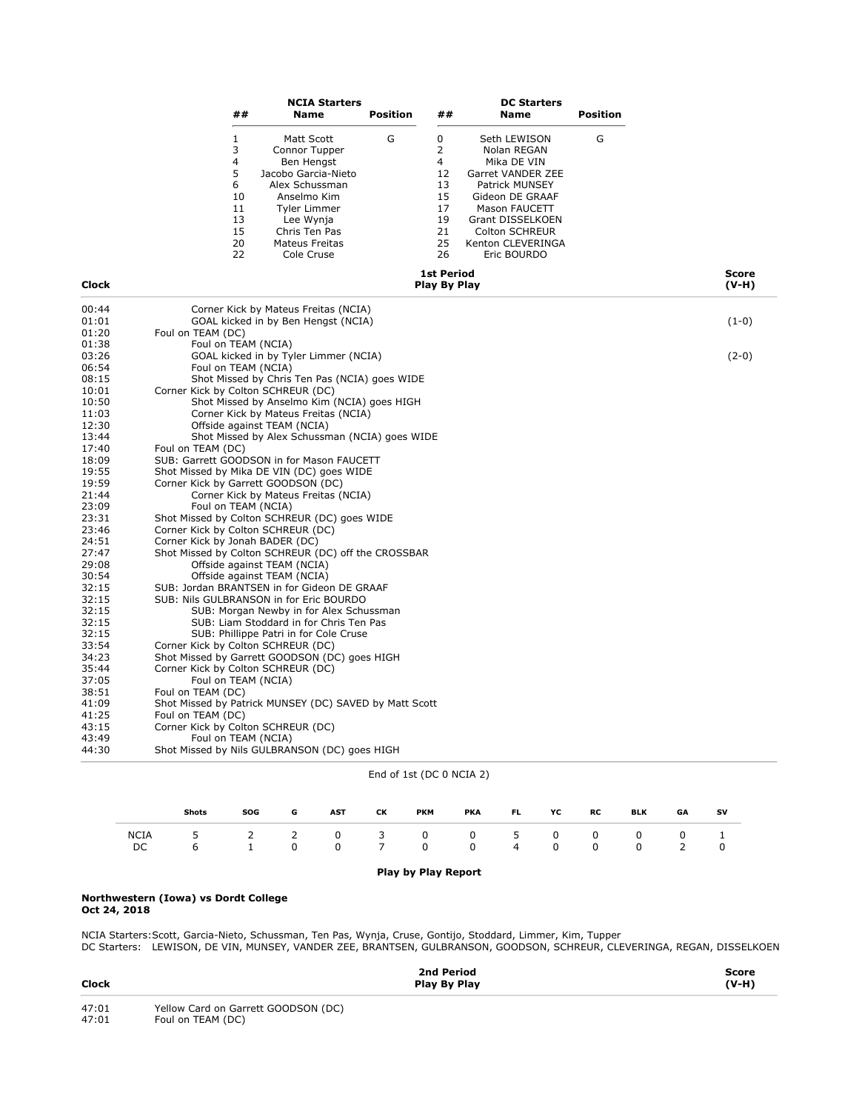|                |                                    | ##                                                                     | <b>NCIA Starters</b><br>Name                                                                                                                                                           | <b>Position</b> | ##                                                                       | <b>DC Starters</b><br><b>Name</b>                                                                                                                                                                      | <b>Position</b> |                         |
|----------------|------------------------------------|------------------------------------------------------------------------|----------------------------------------------------------------------------------------------------------------------------------------------------------------------------------------|-----------------|--------------------------------------------------------------------------|--------------------------------------------------------------------------------------------------------------------------------------------------------------------------------------------------------|-----------------|-------------------------|
|                |                                    | 1<br>3<br>$\overline{4}$<br>5<br>6<br>10<br>11<br>13<br>15<br>20<br>22 | Matt Scott<br>Connor Tupper<br>Ben Hengst<br>Jacobo Garcia-Nieto<br>Alex Schussman<br>Anselmo Kim<br><b>Tyler Limmer</b><br>Lee Wynja<br>Chris Ten Pas<br>Mateus Freitas<br>Cole Cruse | G               | 0<br>2<br>$\overline{4}$<br>12<br>13<br>15<br>17<br>19<br>21<br>25<br>26 | Seth LEWISON<br>Nolan REGAN<br>Mika DE VIN<br>Garret VANDER ZEE<br>Patrick MUNSEY<br>Gideon DE GRAAF<br>Mason FAUCETT<br>Grant DISSELKOEN<br><b>Colton SCHREUR</b><br>Kenton CLEVERINGA<br>Eric BOURDO | G               |                         |
| <b>Clock</b>   |                                    |                                                                        |                                                                                                                                                                                        |                 | <b>1st Period</b><br>Play By Play                                        |                                                                                                                                                                                                        |                 | <b>Score</b><br>$(V-H)$ |
| 00:44<br>01:01 |                                    |                                                                        | Corner Kick by Mateus Freitas (NCIA)<br>GOAL kicked in by Ben Hengst (NCIA)                                                                                                            |                 |                                                                          |                                                                                                                                                                                                        |                 | $(1-0)$                 |
| 01:20          | Foul on TEAM (DC)                  |                                                                        |                                                                                                                                                                                        |                 |                                                                          |                                                                                                                                                                                                        |                 |                         |
| 01:38          | Foul on TEAM (NCIA)                |                                                                        |                                                                                                                                                                                        |                 |                                                                          |                                                                                                                                                                                                        |                 |                         |
| 03:26          |                                    |                                                                        | GOAL kicked in by Tyler Limmer (NCIA)                                                                                                                                                  |                 |                                                                          |                                                                                                                                                                                                        |                 | $(2-0)$                 |
| 06:54          | Foul on TEAM (NCIA)                |                                                                        |                                                                                                                                                                                        |                 |                                                                          |                                                                                                                                                                                                        |                 |                         |
| 08:15          |                                    |                                                                        | Shot Missed by Chris Ten Pas (NCIA) goes WIDE                                                                                                                                          |                 |                                                                          |                                                                                                                                                                                                        |                 |                         |
| 10:01          | Corner Kick by Colton SCHREUR (DC) |                                                                        |                                                                                                                                                                                        |                 |                                                                          |                                                                                                                                                                                                        |                 |                         |
| 10:50          |                                    |                                                                        | Shot Missed by Anselmo Kim (NCIA) goes HIGH                                                                                                                                            |                 |                                                                          |                                                                                                                                                                                                        |                 |                         |
| 11:03          |                                    |                                                                        | Corner Kick by Mateus Freitas (NCIA)                                                                                                                                                   |                 |                                                                          |                                                                                                                                                                                                        |                 |                         |
| 12:30          |                                    |                                                                        | Offside against TEAM (NCIA)                                                                                                                                                            |                 |                                                                          |                                                                                                                                                                                                        |                 |                         |
| 13:44          |                                    |                                                                        | Shot Missed by Alex Schussman (NCIA) goes WIDE                                                                                                                                         |                 |                                                                          |                                                                                                                                                                                                        |                 |                         |
| 17:40          | Foul on TEAM (DC)                  |                                                                        |                                                                                                                                                                                        |                 |                                                                          |                                                                                                                                                                                                        |                 |                         |
| 18:09          |                                    |                                                                        | SUB: Garrett GOODSON in for Mason FAUCETT                                                                                                                                              |                 |                                                                          |                                                                                                                                                                                                        |                 |                         |
| 19:55          |                                    |                                                                        | Shot Missed by Mika DE VIN (DC) goes WIDE                                                                                                                                              |                 |                                                                          |                                                                                                                                                                                                        |                 |                         |
| 19:59          |                                    |                                                                        | Corner Kick by Garrett GOODSON (DC)                                                                                                                                                    |                 |                                                                          |                                                                                                                                                                                                        |                 |                         |
| 21:44          |                                    |                                                                        | Corner Kick by Mateus Freitas (NCIA)                                                                                                                                                   |                 |                                                                          |                                                                                                                                                                                                        |                 |                         |
| 23:09          | Foul on TEAM (NCIA)                |                                                                        |                                                                                                                                                                                        |                 |                                                                          |                                                                                                                                                                                                        |                 |                         |
| 23:31          |                                    |                                                                        | Shot Missed by Colton SCHREUR (DC) goes WIDE                                                                                                                                           |                 |                                                                          |                                                                                                                                                                                                        |                 |                         |
| 23:46          | Corner Kick by Colton SCHREUR (DC) |                                                                        |                                                                                                                                                                                        |                 |                                                                          |                                                                                                                                                                                                        |                 |                         |
| 24:51          | Corner Kick by Jonah BADER (DC)    |                                                                        |                                                                                                                                                                                        |                 |                                                                          |                                                                                                                                                                                                        |                 |                         |
| 27:47          |                                    |                                                                        | Shot Missed by Colton SCHREUR (DC) off the CROSSBAR                                                                                                                                    |                 |                                                                          |                                                                                                                                                                                                        |                 |                         |
| 29:08<br>30:54 |                                    |                                                                        | Offside against TEAM (NCIA)<br>Offside against TEAM (NCIA)                                                                                                                             |                 |                                                                          |                                                                                                                                                                                                        |                 |                         |
| 32:15          |                                    |                                                                        | SUB: Jordan BRANTSEN in for Gideon DE GRAAF                                                                                                                                            |                 |                                                                          |                                                                                                                                                                                                        |                 |                         |
| 32:15          |                                    |                                                                        | SUB: Nils GULBRANSON in for Eric BOURDO                                                                                                                                                |                 |                                                                          |                                                                                                                                                                                                        |                 |                         |
| 32:15          |                                    |                                                                        | SUB: Morgan Newby in for Alex Schussman                                                                                                                                                |                 |                                                                          |                                                                                                                                                                                                        |                 |                         |
| 32:15          |                                    |                                                                        | SUB: Liam Stoddard in for Chris Ten Pas                                                                                                                                                |                 |                                                                          |                                                                                                                                                                                                        |                 |                         |
| 32:15          |                                    |                                                                        | SUB: Phillippe Patri in for Cole Cruse                                                                                                                                                 |                 |                                                                          |                                                                                                                                                                                                        |                 |                         |
| 33:54          | Corner Kick by Colton SCHREUR (DC) |                                                                        |                                                                                                                                                                                        |                 |                                                                          |                                                                                                                                                                                                        |                 |                         |
| 34:23          |                                    |                                                                        | Shot Missed by Garrett GOODSON (DC) goes HIGH                                                                                                                                          |                 |                                                                          |                                                                                                                                                                                                        |                 |                         |
| 35:44          | Corner Kick by Colton SCHREUR (DC) |                                                                        |                                                                                                                                                                                        |                 |                                                                          |                                                                                                                                                                                                        |                 |                         |
| 37:05          | Foul on TEAM (NCIA)                |                                                                        |                                                                                                                                                                                        |                 |                                                                          |                                                                                                                                                                                                        |                 |                         |
| 38:51          | Foul on TEAM (DC)                  |                                                                        |                                                                                                                                                                                        |                 |                                                                          |                                                                                                                                                                                                        |                 |                         |
| 41:09          |                                    |                                                                        | Shot Missed by Patrick MUNSEY (DC) SAVED by Matt Scott                                                                                                                                 |                 |                                                                          |                                                                                                                                                                                                        |                 |                         |
| 41:25          | Foul on TEAM (DC)                  |                                                                        |                                                                                                                                                                                        |                 |                                                                          |                                                                                                                                                                                                        |                 |                         |
| 43:15          | Corner Kick by Colton SCHREUR (DC) |                                                                        |                                                                                                                                                                                        |                 |                                                                          |                                                                                                                                                                                                        |                 |                         |
| 43:49          | Foul on TEAM (NCIA)                |                                                                        |                                                                                                                                                                                        |                 |                                                                          |                                                                                                                                                                                                        |                 |                         |
| 44:30          |                                    |                                                                        | Shot Missed by Nils GULBRANSON (DC) goes HIGH                                                                                                                                          |                 |                                                                          |                                                                                                                                                                                                        |                 |                         |
|                |                                    |                                                                        |                                                                                                                                                                                        |                 |                                                                          |                                                                                                                                                                                                        |                 |                         |

| End of 1st (DC 0 NCIA 2) |  |  |
|--------------------------|--|--|
|--------------------------|--|--|

|             | Shots                     | SOG | G – | <b>AST</b> | <b>CK</b> | РКМ |                   | PKA FL YC | RC | BLK            | <b>GA</b> | sv |
|-------------|---------------------------|-----|-----|------------|-----------|-----|-------------------|-----------|----|----------------|-----------|----|
| NCIA<br>DC. | 5 2 2 0 3 0 0 5 0 0 0 0 1 |     |     |            |           |     | 1 0 0 7 0 0 4 0 0 |           |    | $\overline{0}$ |           |    |

## Play by Play Report

### Northwestern (Iowa) vs Dordt College Oct 24, 2018

NCIA Starters:Scott, Garcia-Nieto, Schussman, Ten Pas, Wynja, Cruse, Gontijo, Stoddard, Limmer, Kim, Tupper DC Starters: LEWISON, DE VIN, MUNSEY, VANDER ZEE, BRANTSEN, GULBRANSON, GOODSON, SCHREUR, CLEVERINGA, REGAN, DISSELKOEN

| <b>Clock</b> |                                     | 2nd Period<br>Play By Play | Score<br>$(V-H)$ |
|--------------|-------------------------------------|----------------------------|------------------|
| 47:01        | Yellow Card on Garrett GOODSON (DC) |                            |                  |
| 47:01        | Foul on TEAM (DC)                   |                            |                  |